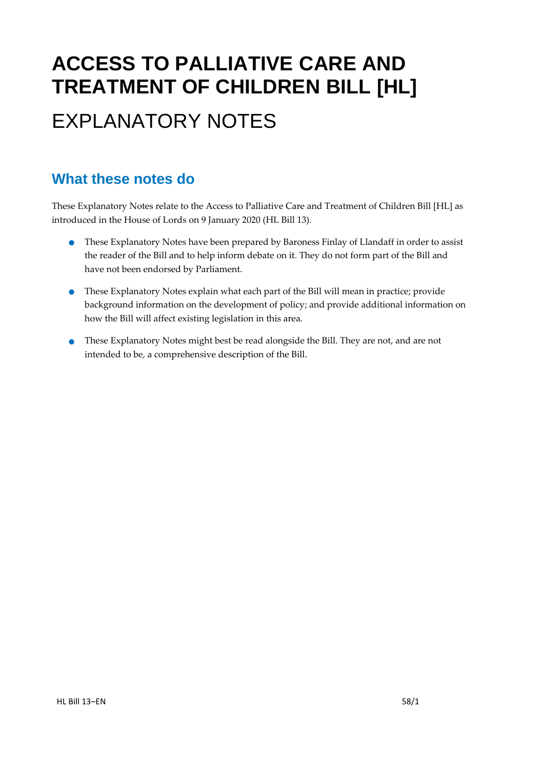# **ACCESS TO PALLIATIVE CARE AND TREATMENT OF CHILDREN BILL [HL]** EXPLANATORY NOTES

### **What these notes do**

These Explanatory Notes relate to the Access to Palliative Care and Treatment of Children Bill [HL] as introduced in the House of Lords on 9 January 2020 (HL Bill 13).

- These Explanatory Notes have been prepared by Baroness Finlay of Llandaff in order to assist the reader of the Bill and to help inform debate on it. They do not form part of the Bill and have not been endorsed by Parliament.
- These Explanatory Notes explain what each part of the Bill will mean in practice; provide background information on the development of policy; and provide additional information on how the Bill will affect existing legislation in this area.
- These Explanatory Notes might best be read alongside the Bill. They are not, and are not intended to be, a comprehensive description of the Bill.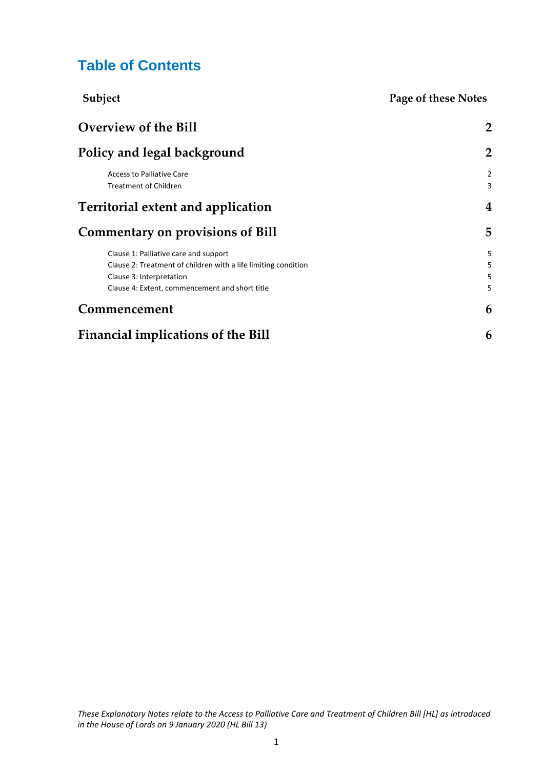### **Table of Contents**

| Subject                                                                                                 | Page of these Notes |
|---------------------------------------------------------------------------------------------------------|---------------------|
| <b>Overview of the Bill</b>                                                                             | 2                   |
| Policy and legal background                                                                             | $\overline{2}$      |
| <b>Access to Palliative Care</b><br><b>Treatment of Children</b>                                        | 2<br>3              |
| <b>Territorial extent and application</b>                                                               | 4                   |
| <b>Commentary on provisions of Bill</b>                                                                 | 5                   |
| Clause 1: Palliative care and support<br>Clause 2: Treatment of children with a life limiting condition | 5<br>5              |
| Clause 3: Interpretation                                                                                | 5<br>5              |
| Clause 4: Extent, commencement and short title<br>Commencement                                          | 6                   |
| Financial implications of the Bill                                                                      | 6                   |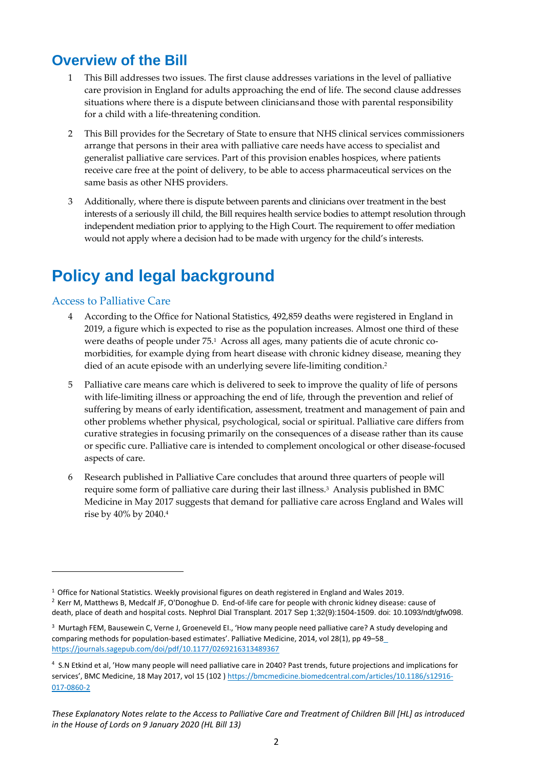### <span id="page-2-0"></span>**Overview of the Bill**

- 1 This Bill addresses two issues. The first clause addresses variations in the level of palliative care provision in England for adults approaching the end of life. The second clause addresses situations where there is a dispute between cliniciansand those with parental responsibility for a child with a life-threatening condition.
- 2 This Bill provides for the Secretary of State to ensure that NHS clinical services commissioners arrange that persons in their area with palliative care needs have access to specialist and generalist palliative care services. Part of this provision enables hospices, where patients receive care free at the point of delivery, to be able to access pharmaceutical services on the same basis as other NHS providers.
- 3 Additionally, where there is dispute between parents and clinicians over treatment in the best interests of a seriously ill child, the Bill requires health service bodies to attempt resolution through independent mediation prior to applying to the High Court. The requirement to offer mediation would not apply where a decision had to be made with urgency for the child's interests.

# <span id="page-2-1"></span>**Policy and legal background**

#### <span id="page-2-2"></span>Access to Palliative Care

 $\overline{\phantom{a}}$ 

- 4 According to the Office for National Statistics, 492,859 deaths were registered in England in 2019, a figure which is expected to rise as the population increases. Almost one third of these were deaths of people under 75.<sup>1</sup> Across all ages, many patients die of acute chronic comorbidities, for example dying from heart disease with chronic kidney disease, meaning they died of an acute episode with an underlying severe life-limiting condition.<sup>2</sup>
- 5 Palliative care means care which is delivered to seek to improve the quality of life of persons with life-limiting illness or approaching the end of life, through the prevention and relief of suffering by means of early identification, assessment, treatment and management of pain and other problems whether physical, psychological, social or spiritual. Palliative care differs from curative strategies in focusing primarily on the consequences of a disease rather than its cause or specific cure. Palliative care is intended to complement oncological or other disease-focused aspects of care.
- 6 Research published in Palliative Care concludes that around three quarters of people will require some form of palliative care during their last illness. <sup>3</sup> Analysis published in BMC Medicine in May 2017 suggests that demand for palliative care across England and Wales will rise by 40% by 2040.<sup>4</sup>

<sup>&</sup>lt;sup>1</sup> Office for National Statistics. Weekly provisional figures on death registered in England and Wales 2019.

<sup>2</sup> Kerr M, Matthews B, Medcalf JF, O'Donoghue D. End-of-life care for people with chronic kidney disease: cause of death, place of death and hospital costs. Nephrol Dial Transplant. 2017 Sep 1;32(9):1504-1509. doi: 10.1093/ndt/gfw098.

<sup>&</sup>lt;sup>3</sup> Murtagh FEM, Bausewein C, Verne J, Groeneveld EI., 'How many people need palliative care? A study developing and comparing methods for population-based estimates'. Palliative Medicine, 2014, vol 28(1), pp 49–5[8](https://journals.sagepub.com/doi/pdf/10.1177/0269216313489367) <https://journals.sagepub.com/doi/pdf/10.1177/0269216313489367>

<sup>4</sup> S.N Etkind et al, 'How many people will need palliative care in 2040? Past trends, future projections and implications for services', BMC Medicine, 18 May 2017, vol 15 (102) [https://bmcmedicine.biomedcentral.com/articles/10.1186/s12916-](https://bmcmedicine.biomedcentral.com/articles/10.1186/s12916-017-0860-2) [017-0860-2](https://bmcmedicine.biomedcentral.com/articles/10.1186/s12916-017-0860-2)

*These Explanatory Notes relate to the Access to Palliative Care and Treatment of Children Bill [HL] as introduced in the House of Lords on 9 January 2020 (HL Bill 13)*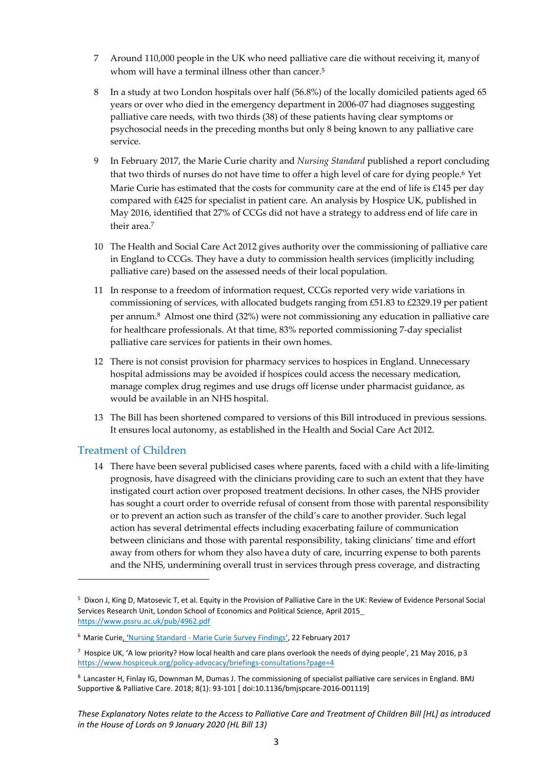- 7 Around 110,000 people in the UK who need palliative care die without receiving it, manyof whom will have a terminal illness other than cancer.<sup>5</sup>
- 8 In a study at two London hospitals over half (56.8%) of the locally domiciled patients aged 65 years or over who died in the emergency department in 2006-07 had diagnoses suggesting palliative care needs, with two thirds (38) of these patients having clear symptoms or psychosocial needs in the preceding months but only 8 being known to any palliative care service.
- 9 In February 2017, the Marie Curie charity and *Nursing Standard* published a report concluding that two thirds of nurses do not have time to offer a high level of care for dying people.<sup>6</sup> Yet Marie Curie has estimated that the costs for community care at the end of life is  $£145$  per day compared with £425 for specialist in patient care. An analysis by Hospice UK, published in May 2016, identified that 27% of CCGs did not have a strategy to address end of life care in their area.<sup>7</sup>
- 10 The Health and Social Care Act 2012 gives authority over the commissioning of palliative care in England to CCGs. They have a duty to commission health services (implicitly including palliative care) based on the assessed needs of their local population.
- 11 In response to a freedom of information request, CCGs reported very wide variations in commissioning of services, with allocated budgets ranging from £51.83 to £2329.19 per patient per annum. <sup>8</sup> Almost one third (32%) were not commissioning any education in palliative care for healthcare professionals. At that time, 83% reported commissioning 7-day specialist palliative care services for patients in their own homes.
- 12 There is not consist provision for pharmacy services to hospices in England. Unnecessary hospital admissions may be avoided if hospices could access the necessary medication, manage complex drug regimes and use drugs off license under pharmacist guidance, as would be available in an NHS hospital.
- 13 The Bill has been shortened compared to versions of this Bill introduced in previous sessions. It ensures local autonomy, as established in the Health and Social Care Act 2012.

#### <span id="page-3-0"></span>Treatment of Children

**.** 

14 There have been several publicised cases where parents, faced with a child with a life-limiting prognosis, have disagreed with the clinicians providing care to such an extent that they have instigated court action over proposed treatment decisions. In other cases, the NHS provider has sought a court order to override refusal of consent from those with parental responsibility or to prevent an action such as transfer of the child's care to another provider. Such legal action has several detrimental effects including exacerbating failure of communication between clinicians and those with parental responsibility, taking clinicians' time and effort away from others for whom they also havea duty of care, incurring expense to both parents and the NHS, undermining overall trust in services through press coverage, and distracting

<sup>5</sup> Dixon J, King D, Matosevic T, et al. Equity in the Provision of Palliative Care in the UK: Review of Evidence Personal Social Services Research Unit, London School of Economics and Political Science, April 201[5](https://www.pssru.ac.uk/pub/4962.pdf) <https://www.pssru.ac.uk/pub/4962.pdf>

<sup>&</sup>lt;sup>6</sup> Marie Curie, 'Nursing Standard - [Marie Curie Survey Findings](https://www.mariecurie.org.uk/globalassets/media/documents/media-centre/2017/nursing-standard-marie-curie-survey-findings.pdf)', 22 February 2017

 $^7$  Hospice UK, 'A low priority? How local health and care plans overlook the needs of dying people', 21 May 2016, p3 <https://www.hospiceuk.org/policy-advocacy/briefings-consultations?page=4>

<sup>8</sup> Lancaster H, Finlay IG, Downman M, Dumas J. The commissioning of specialist palliative care services in England. BMJ Supportive & Palliative Care. 2018; 8(1): 93-101 [ doi:10.1136/bmjspcare-2016-001119]

*These Explanatory Notes relate to the Access to Palliative Care and Treatment of Children Bill [HL] as introduced in the House of Lords on 9 January 2020 (HL Bill 13)*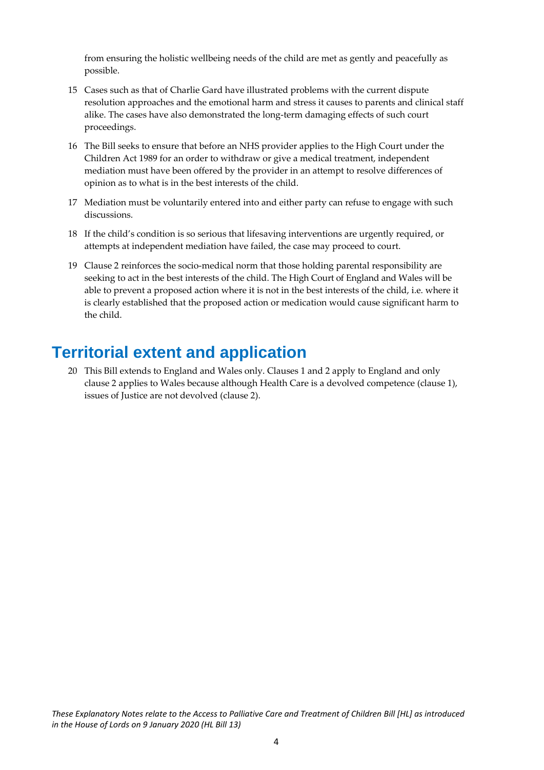from ensuring the holistic wellbeing needs of the child are met as gently and peacefully as possible.

- 15 Cases such as that of Charlie Gard have illustrated problems with the current dispute resolution approaches and the emotional harm and stress it causes to parents and clinical staff alike. The cases have also demonstrated the long-term damaging effects of such court proceedings.
- 16 The Bill seeks to ensure that before an NHS provider applies to the High Court under the Children Act 1989 for an order to withdraw or give a medical treatment, independent mediation must have been offered by the provider in an attempt to resolve differences of opinion as to what is in the best interests of the child.
- 17 Mediation must be voluntarily entered into and either party can refuse to engage with such discussions.
- 18 If the child's condition is so serious that lifesaving interventions are urgently required, or attempts at independent mediation have failed, the case may proceed to court.
- 19 Clause 2 reinforces the socio-medical norm that those holding parental responsibility are seeking to act in the best interests of the child. The High Court of England and Wales will be able to prevent a proposed action where it is not in the best interests of the child, i.e. where it is clearly established that the proposed action or medication would cause significant harm to the child.

### <span id="page-4-0"></span>**Territorial extent and application**

20 This Bill extends to England and Wales only. Clauses 1 and 2 apply to England and only clause 2 applies to Wales because although Health Care is a devolved competence (clause 1), issues of Justice are not devolved (clause 2).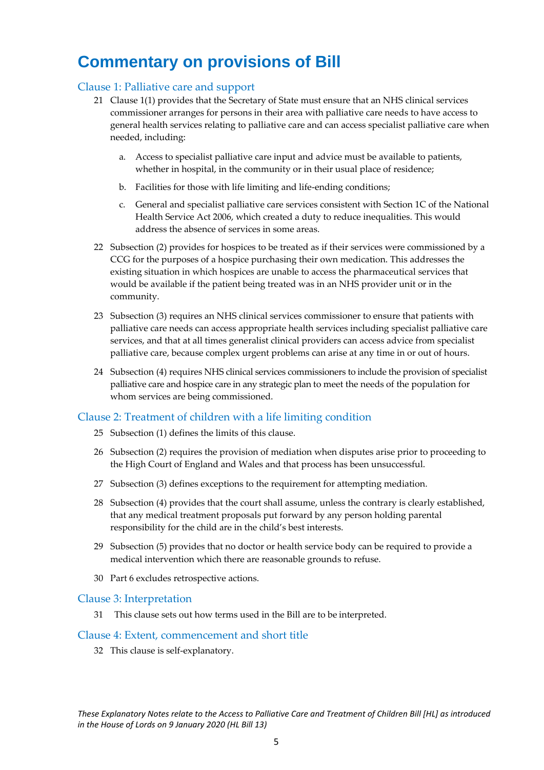## <span id="page-5-0"></span>**Commentary on provisions of Bill**

#### <span id="page-5-1"></span>Clause 1: Palliative care and support

- 21 Clause 1(1) provides that the Secretary of State must ensure that an NHS clinical services commissioner arranges for persons in their area with palliative care needs to have access to general health services relating to palliative care and can access specialist palliative care when needed, including:
	- a. Access to specialist palliative care input and advice must be available to patients, whether in hospital, in the community or in their usual place of residence;
	- b. Facilities for those with life limiting and life-ending conditions;
	- c. General and specialist palliative care services consistent with Section 1C of the National Health Service Act 2006, which created a duty to reduce inequalities. This would address the absence of services in some areas.
- 22 Subsection (2) provides for hospices to be treated as if their services were commissioned by a CCG for the purposes of a hospice purchasing their own medication. This addresses the existing situation in which hospices are unable to access the pharmaceutical services that would be available if the patient being treated was in an NHS provider unit or in the community.
- 23 Subsection (3) requires an NHS clinical services commissioner to ensure that patients with palliative care needs can access appropriate health services including specialist palliative care services, and that at all times generalist clinical providers can access advice from specialist palliative care, because complex urgent problems can arise at any time in or out of hours.
- 24 Subsection (4) requires NHS clinical services commissioners to include the provision of specialist palliative care and hospice care in any strategic plan to meet the needs of the population for whom services are being commissioned.

### <span id="page-5-2"></span>Clause 2: Treatment of children with a life limiting condition

- 25 Subsection (1) defines the limits of this clause.
- 26 Subsection (2) requires the provision of mediation when disputes arise prior to proceeding to the High Court of England and Wales and that process has been unsuccessful.
- 27 Subsection (3) defines exceptions to the requirement for attempting mediation.
- 28 Subsection (4) provides that the court shall assume, unless the contrary is clearly established, that any medical treatment proposals put forward by any person holding parental responsibility for the child are in the child's best interests.
- 29 Subsection (5) provides that no doctor or health service body can be required to provide a medical intervention which there are reasonable grounds to refuse.
- 30 Part 6 excludes retrospective actions.

#### <span id="page-5-3"></span>Clause 3: Interpretation

31 This clause sets out how terms used in the Bill are to be interpreted.

#### <span id="page-5-4"></span>Clause 4: Extent, commencement and short title

32 This clause is self-explanatory.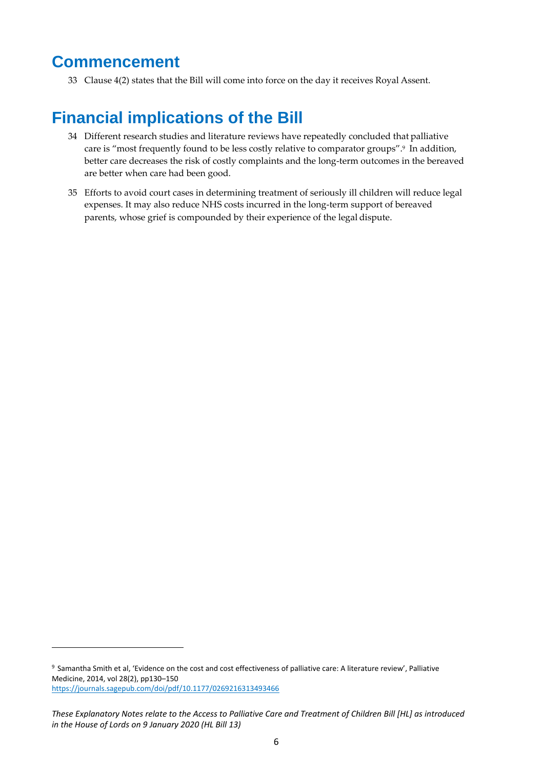### <span id="page-6-0"></span>**Commencement**

 $\overline{\phantom{a}}$ 

33 Clause 4(2) states that the Bill will come into force on the day it receives Royal Assent.

# <span id="page-6-1"></span>**Financial implications of the Bill**

- 34 Different research studies and literature reviews have repeatedly concluded that palliative care is "most frequently found to be less costly relative to comparator groups".<sup>9</sup> In addition, better care decreases the risk of costly complaints and the long-term outcomes in the bereaved are better when care had been good.
- 35 Efforts to avoid court cases in determining treatment of seriously ill children will reduce legal expenses. It may also reduce NHS costs incurred in the long-term support of bereaved parents, whose grief is compounded by their experience of the legal dispute.

<sup>&</sup>lt;sup>9</sup> Samantha Smith et al, 'Evidence on the cost and cost effectiveness of palliative care: A literature review', Palliative Medicine, 2014, vol 28(2), pp130–150 <https://journals.sagepub.com/doi/pdf/10.1177/0269216313493466>

*These Explanatory Notes relate to the Access to Palliative Care and Treatment of Children Bill [HL] as introduced in the House of Lords on 9 January 2020 (HL Bill 13)*